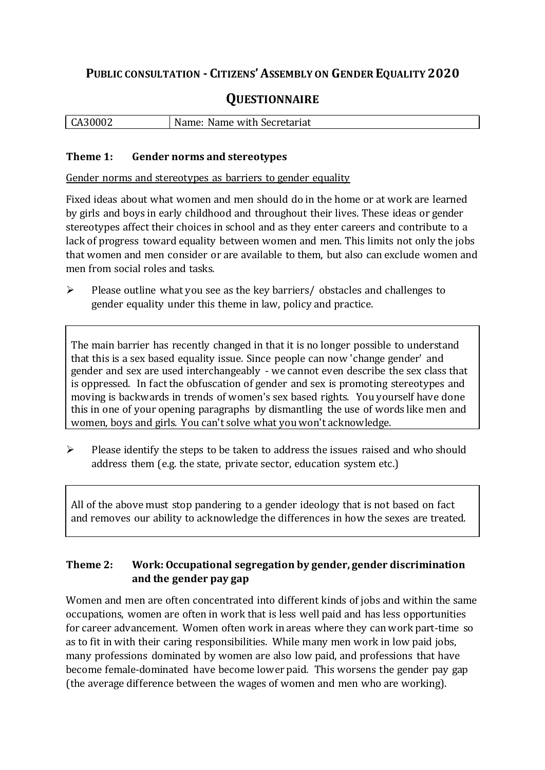## **PUBLIC CONSULTATION - CITIZENS'ASSEMBLY ON GENDER EQUALITY 2020**

# **QUESTIONNAIRE**

| CA30002 | Name: Name with Secretariat |
|---------|-----------------------------|
|         |                             |

#### **Theme 1: Gender norms and stereotypes**

Gender norms and stereotypes as barriers to gender equality

Fixed ideas about what women and men should do in the home or at work are learned by girls and boys in early childhood and throughout their lives. These ideas or gender stereotypes affect their choices in school and as they enter careers and contribute to a lack of progress toward equality between women and men. This limits not only the jobs that women and men consider or are available to them, but also can exclude women and men from social roles and tasks.

 $\triangleright$  Please outline what you see as the key barriers/ obstacles and challenges to gender equality under this theme in law, policy and practice.

The main barrier has recently changed in that it is no longer possible to understand that this is a sex based equality issue. Since people can now 'change gender' and gender and sex are used interchangeably - we cannot even describe the sex class that is oppressed. In fact the obfuscation of gender and sex is promoting stereotypes and moving is backwards in trends of women's sex based rights. You yourself have done this in one of your opening paragraphs by dismantling the use of words like men and women, boys and girls. You can't solve what you won't acknowledge.

 $\triangleright$  Please identify the steps to be taken to address the issues raised and who should address them (e.g. the state, private sector, education system etc.)

All of the above must stop pandering to a gender ideology that is not based on fact and removes our ability to acknowledge the differences in how the sexes are treated.

#### **Theme 2: Work: Occupational segregation by gender, gender discrimination and the gender pay gap**

Women and men are often concentrated into different kinds of jobs and within the same occupations, women are often in work that is less well paid and has less opportunities for career advancement. Women often work in areas where they can work part-time so as to fit in with their caring responsibilities. While many men work in low paid jobs, many professions dominated by women are also low paid, and professions that have become female-dominated have become lower paid. This worsens the gender pay gap (the average difference between the wages of women and men who are working).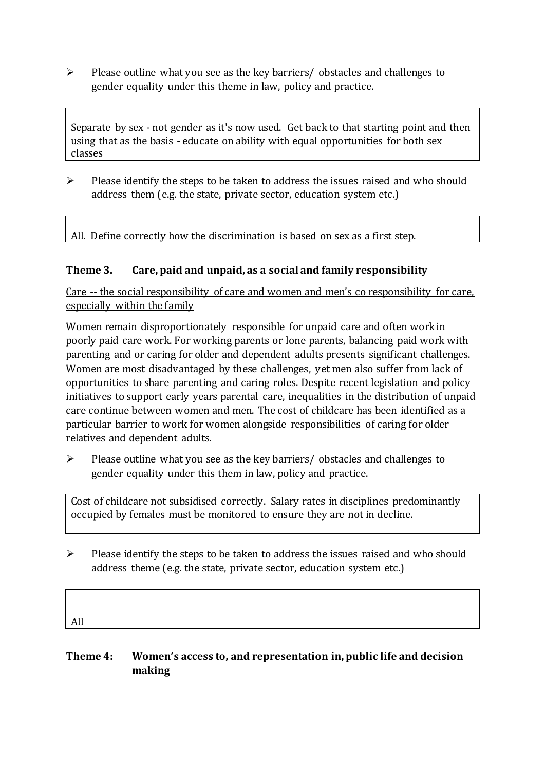$\triangleright$  Please outline what you see as the key barriers/ obstacles and challenges to gender equality under this theme in law, policy and practice.

Separate by sex - not gender as it's now used. Get back to that starting point and then using that as the basis - educate on ability with equal opportunities for both sex classes

 $\triangleright$  Please identify the steps to be taken to address the issues raised and who should address them (e.g. the state, private sector, education system etc.)

All. Define correctly how the discrimination is based on sex as a first step.

#### **Theme 3. Care, paid and unpaid, as a social and family responsibility**

Care -- the social responsibility of care and women and men's co responsibility for care, especially within the family

Women remain disproportionately responsible for unpaid care and often work in poorly paid care work. For working parents or [lone parents,](https://aran.library.nuigalway.ie/bitstream/handle/10379/6044/Millar_and_Crosse_Activation_Report.pdf?sequence=1&isAllowed=y) balancing paid work with parenting and or caring for older and dependent adults presents significant challenges. Women are [most disadvantaged by these challenges,](https://eige.europa.eu/gender-equality-index/game/IE/W) yet men also suffer from lack of opportunities to share parenting and caring roles. Despite recent legislation and policy initiatives to support early years parental care, [inequalities in the distribution of unpaid](https://www.ihrec.ie/app/uploads/2019/07/Caring-and-Unpaid-Work-in-Ireland_Final.pdf)  [care](https://www.ihrec.ie/app/uploads/2019/07/Caring-and-Unpaid-Work-in-Ireland_Final.pdf) continue between women and men. The cost of childcare has been identified as a particular barrier to work for women alongside responsibilities of caring for older relatives and dependent adults.

 $\triangleright$  Please outline what you see as the key barriers/ obstacles and challenges to gender equality under this them in law, policy and practice.

Cost of childcare not subsidised correctly. Salary rates in disciplines predominantly occupied by females must be monitored to ensure they are not in decline.

 $\triangleright$  Please identify the steps to be taken to address the issues raised and who should address theme (e.g. the state, private sector, education system etc.)

| All |  |  |  |
|-----|--|--|--|
|     |  |  |  |

#### **Theme 4: Women's access to, and representation in, public life and decision making**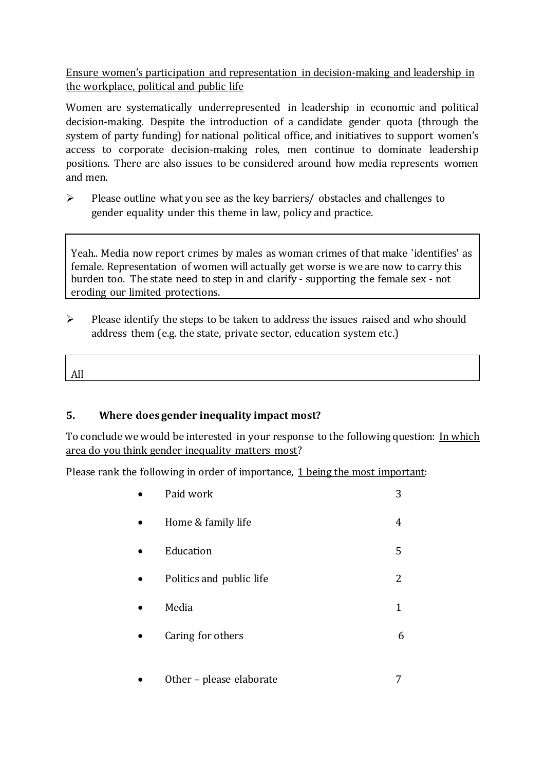Ensure women's participation and representation in decision-making and leadership in the workplace, political and public life

Women are systematically underrepresented in leadership in [economic](https://eige.europa.eu/gender-equality-index/2019/compare-countries/power/2/bar) and [political](https://eige.europa.eu/gender-equality-index/2019/compare-countries/power/1/bar)  [decision-](https://eige.europa.eu/gender-equality-index/2019/compare-countries/power/1/bar)making. Despite the introduction of a candidate gender quota (through the system of party funding) for national political office, and [initiatives](https://betterbalance.ie/) to support women's access to corporate decision-making roles, men continue to dominate leadership positions. There are also issues to be considered around how media represents women and men.

 $\triangleright$  Please outline what you see as the key barriers/ obstacles and challenges to gender equality under this theme in law, policy and practice.

Yeah.. Media now report crimes by males as woman crimes of that make 'identifies' as female. Representation of women will actually get worse is we are now to carry this burden too. The state need to step in and clarify - supporting the female sex - not eroding our limited protections.

 $\triangleright$  Please identify the steps to be taken to address the issues raised and who should address them (e.g. the state, private sector, education system etc.)

All

### **5. Where does gender inequality impact most?**

To conclude we would be interested in your response to the following question: In which area do you think gender inequality matters most?

Please rank the following in order of importance, 1 being the most important:

| Paid work                | 3 |
|--------------------------|---|
| Home & family life       | 4 |
| Education                | 5 |
| Politics and public life | 2 |
| Media                    | 1 |
| Caring for others        | 6 |
|                          |   |

Other – please elaborate 7